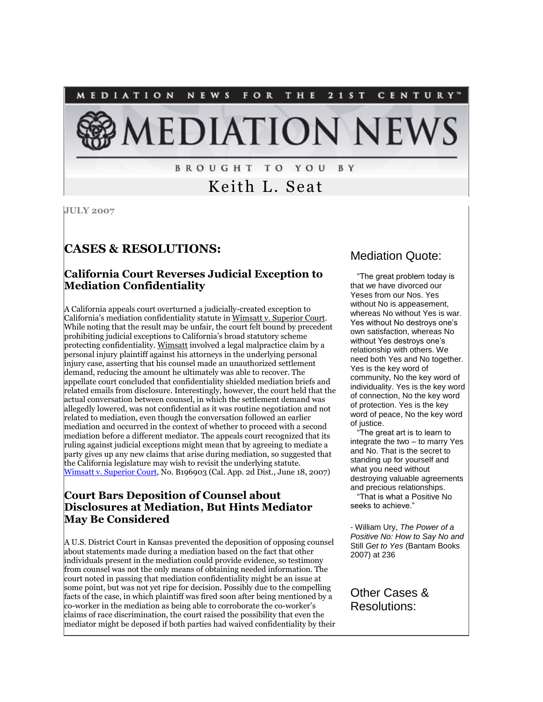

# Keith L. Seat

**JULY 2007**

# **CASES & RESOLUTIONS:**

#### **California Court Reverses Judicial Exception to Mediation Confidentiality**

A California appeals court overturned a judicially-created exception to California's mediation confidentiality statute in Wimsatt v. Superior Court. While noting that the result may be unfair, the court felt bound by precedent prohibiting judicial exceptions to California's broad statutory scheme protecting confidentiality. Wimsatt involved a legal malpractice claim by a personal injury plaintiff against his attorneys in the underlying personal injury case, asserting that his counsel made an unauthorized settlement demand, reducing the amount he ultimately was able to recover. The appellate court concluded that confidentiality shielded mediation briefs and related emails from disclosure. Interestingly, however, the court held that the actual conversation between counsel, in which the settlement demand was allegedly lowered, was not confidential as it was routine negotiation and not related to mediation, even though the conversation followed an earlier mediation and occurred in the context of whether to proceed with a second mediation before a different mediator. The appeals court recognized that its ruling against judicial exceptions might mean that by agreeing to mediate a party gives up any new claims that arise during mediation, so suggested that the California legislature may wish to revisit the underlying statute. [Wimsatt v. Superior Court,](http://tinyurl.com/2oufvk) No. B196903 (Cal. App. 2d Dist., June 18, 2007)

#### **Court Bars Deposition of Counsel about Disclosures at Mediation, But Hints Mediator May Be Considered**

A U.S. District Court in Kansas prevented the deposition of opposing counsel about statements made during a mediation based on the fact that other individuals present in the mediation could provide evidence, so testimony from counsel was not the only means of obtaining needed information. The court noted in passing that mediation confidentiality might be an issue at some point, but was not yet ripe for decision. Possibly due to the compelling facts of the case, in which plaintiff was fired soon after being mentioned by a co-worker in the mediation as being able to corroborate the co-worker's claims of race discrimination, the court raised the possibility that even the mediator might be deposed if both parties had waived confidentiality by their

# Mediation Quote:

 "The great problem today is that we have divorced our Yeses from our Nos. Yes without No is appeasement, whereas No without Yes is war. Yes without No destroys one's own satisfaction, whereas No without Yes destroys one's relationship with others. We need both Yes and No together. Yes is the key word of community, No the key word of individuality. Yes is the key word of connection, No the key word of protection. Yes is the key word of peace, No the key word of justice.

 "The great art is to learn to integrate the two – to marry Yes and No. That is the secret to standing up for yourself and what you need without destroying valuable agreements and precious relationships. "That is what a Positive No

seeks to achieve."

- William Ury, *The Power of a Positive No: How to Say No and*  Still *Get to Yes* (Bantam Books 2007) at 236

Other Cases & Resolutions: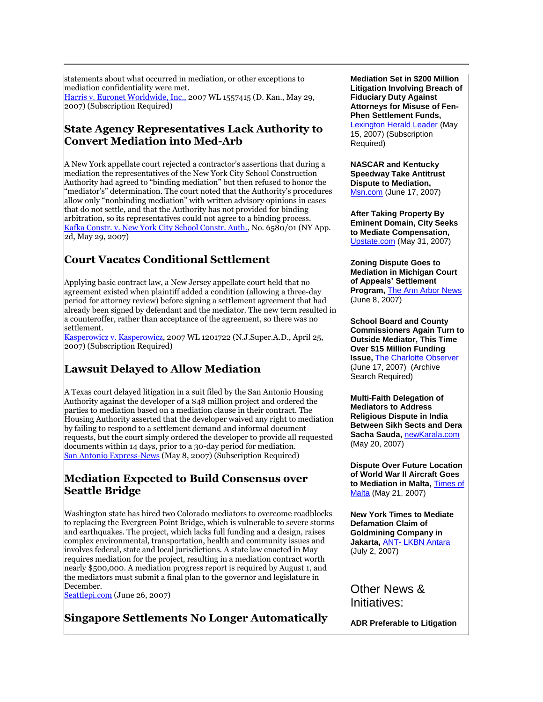statements about what occurred in mediation, or other exceptions to mediation confidentiality were met. [Harris v. Euronet Worldwide, Inc.,](http://tinyurl.com/yveo7d) 2007 WL 1557415 (D. Kan., May 29, 2007) (Subscription Required)

#### **State Agency Representatives Lack Authority to Convert Mediation into Med-Arb**

A New York appellate court rejected a contractor's assertions that during a mediation the representatives of the New York City School Construction Authority had agreed to "binding mediation" but then refused to honor the "mediator's" determination. The court noted that the Authority's procedures allow only "nonbinding mediation" with written advisory opinions in cases that do not settle, and that the Authority has not provided for binding arbitration, so its representatives could not agree to a binding process. [Kafka Constr. v. New York City School Constr. Auth.,](http://tinyurl.com/385ksq) No. 6580/01 (NY App. 2d, May 29, 2007)

## **Court Vacates Conditional Settlement**

Applying basic contract law, a New Jersey appellate court held that no agreement existed when plaintiff added a condition (allowing a three-day period for attorney review) before signing a settlement agreement that had already been signed by defendant and the mediator. The new term resulted in a counteroffer, rather than acceptance of the agreement, so there was no settlement.

[Kasperowicz v. Kasperowicz,](http://tinyurl.com/25von5) 2007 WL 1201722 (N.J.Super.A.D., April 25, 2007) (Subscription Required)

### **Lawsuit Delayed to Allow Mediation**

A Texas court delayed litigation in a suit filed by the San Antonio Housing Authority against the developer of a \$48 million project and ordered the parties to mediation based on a mediation clause in their contract. The Housing Authority asserted that the developer waived any right to mediation by failing to respond to a settlement demand and informal document requests, but the court simply ordered the developer to provide all requested documents within 14 days, prior to a 30-day period for mediation. [San Antonio Express-News](http://tinyurl.com/ynunol) (May 8, 2007) (Subscription Required)

#### **Mediation Expected to Build Consensus over Seattle Bridge**

Washington state has hired two Colorado mediators to overcome roadblocks to replacing the Evergreen Point Bridge, which is vulnerable to severe storms and earthquakes. The project, which lacks full funding and a design, raises complex environmental, transportation, health and community issues and involves federal, state and local jurisdictions. A state law enacted in May requires mediation for the project, resulting in a mediation contract worth nearly \$500,000. A mediation progress report is required by August 1, and the mediators must submit a final plan to the governor and legislature in December.

[Seattlepi.com](http://tinyurl.com/2mcjmd) (June 26, 2007)

### **Singapore Settlements No Longer Automatically**

**Mediation Set in \$200 Million Litigation Involving Breach of Fiduciary Duty Against Attorneys for Misuse of Fen-Phen Settlement Funds,** 

[Lexington Herald Leader](http://tinyurl.com/2nftlx) (May 15, 2007) (Subscription Required)

**NASCAR and Kentucky Speedway Take Antitrust Dispute to Mediation,** [Msn.com](http://tinyurl.com/3yhkkt) (June 17, 2007)

**After Taking Property By Eminent Domain, City Seeks to Mediate Compensation,** [Upstate.com](http://tinyurl.com/2lg856) (May 31, 2007)

**Zoning Dispute Goes to Mediation in Michigan Court of Appeals' Settlement Program,** [The Ann Arbor News](http://tinyurl.com/3ameds) (June 8, 2007)

**School Board and County Commissioners Again Turn to Outside Mediator, This Time Over \$15 Million Funding Issue,** [The Charlotte Observer](http://tinyurl.com/2jcy7h) (June 17, 2007) (Archive Search Required)

**Multi-Faith Delegation of Mediators to Address Religious Dispute in India Between Sikh Sects and Dera Sacha Sauda,** [newKarala.com](http://tinyurl.com/2t2wts) (May 20, 2007)

**Dispute Over Future Location of World War II Aircraft Goes to Mediation in Malta,** [Times of](http://tinyurl.com/2ulyv5)  [Malta](http://tinyurl.com/2ulyv5) (May 21, 2007)

**New York Times to Mediate Defamation Claim of Goldmining Company in Jakarta,** ANT- [LKBN Antara](http://tinyurl.com/38mpvy) (July 2, 2007)

Other News & Initiatives:

**ADR Preferable to Litigation**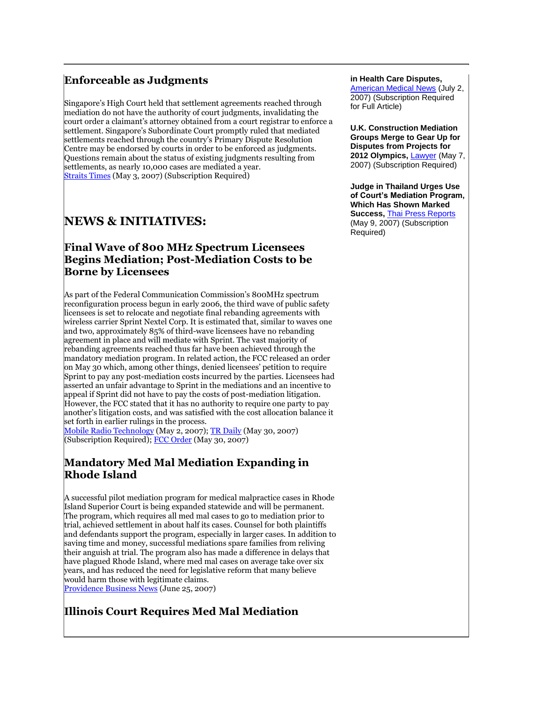#### **Enforceable as Judgments**

Singapore's High Court held that settlement agreements reached through mediation do not have the authority of court judgments, invalidating the court order a claimant's attorney obtained from a court registrar to enforce a settlement. Singapore's Subordinate Court promptly ruled that mediated settlements reached through the country's Primary Dispute Resolution Centre may be endorsed by courts in order to be enforced as judgments. Questions remain about the status of existing judgments resulting from settlements, as nearly 10,000 cases are mediated a year. [Straits Times](http://tinyurl.com/2ajur2) (May 3, 2007) (Subscription Required)

# **NEWS & INITIATIVES:**

#### **Final Wave of 800 MHz Spectrum Licensees Begins Mediation; Post-Mediation Costs to be Borne by Licensees**

As part of the Federal Communication Commission's 800MHz spectrum reconfiguration process begun in early 2006, the third wave of public safety licensees is set to relocate and negotiate final rebanding agreements with wireless carrier Sprint Nextel Corp. It is estimated that, similar to waves one and two, approximately 85% of third-wave licensees have no rebanding agreement in place and will mediate with Sprint. The vast majority of rebanding agreements reached thus far have been achieved through the mandatory mediation program. In related action, the FCC released an order on May 30 which, among other things, denied licensees' petition to require Sprint to pay any post-mediation costs incurred by the parties. Licensees had asserted an unfair advantage to Sprint in the mediations and an incentive to appeal if Sprint did not have to pay the costs of post-mediation litigation. However, the FCC stated that it has no authority to require one party to pay another's litigation costs, and was satisfied with the cost allocation balance it set forth in earlier rulings in the process.

[Mobile Radio Technology](http://tinyurl.com/3xhyv6) (May 2, 2007)[; TR Daily](http://tinyurl.com/2xecn7) (May 30, 2007) (Subscription Required)[; FCC Order](http://tinyurl.com/39j4f8) (May 30, 2007)

#### **Mandatory Med Mal Mediation Expanding in Rhode Island**

A successful pilot mediation program for medical malpractice cases in Rhode Island Superior Court is being expanded statewide and will be permanent. The program, which requires all med mal cases to go to mediation prior to trial, achieved settlement in about half its cases. Counsel for both plaintiffs and defendants support the program, especially in larger cases. In addition to saving time and money, successful mediations spare families from reliving their anguish at trial. The program also has made a difference in delays that have plagued Rhode Island, where med mal cases on average take over six years, and has reduced the need for legislative reform that many believe would harm those with legitimate claims.

[Providence Business News](http://tinyurl.com/2jfs7j) (June 25, 2007)

### **Illinois Court Requires Med Mal Mediation**

#### **in Health Care Disputes,**

[American Medical News](http://tinyurl.com/2qwn25) (July 2, 2007) (Subscription Required for Full Article)

**U.K. Construction Mediation Groups Merge to Gear Up for Disputes from Projects for 2012 Olympics,** [Lawyer](http://tinyurl.com/3xkhlt) (May 7, 2007) (Subscription Required)

**Judge in Thailand Urges Use of Court's Mediation Program, Which Has Shown Marked Success,** [Thai Press Reports](http://tinyurl.com/3dt6sb) (May 9, 2007) (Subscription Required)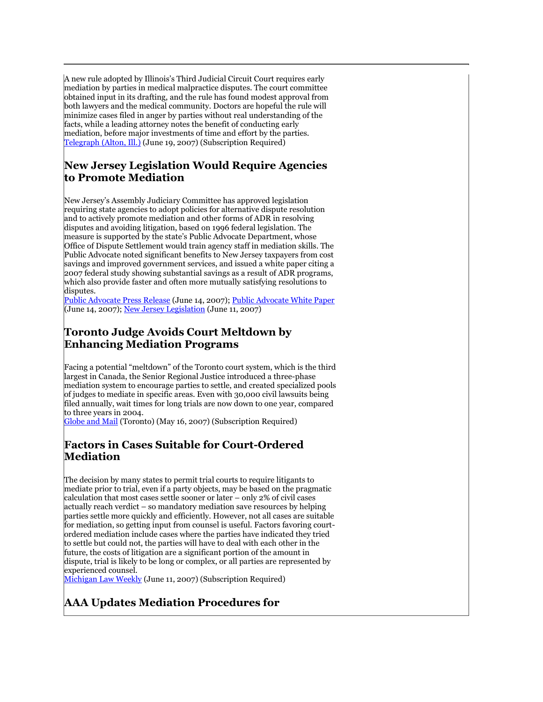A new rule adopted by Illinois's Third Judicial Circuit Court requires early mediation by parties in medical malpractice disputes. The court committee obtained input in its drafting, and the rule has found modest approval from both lawyers and the medical community. Doctors are hopeful the rule will minimize cases filed in anger by parties without real understanding of the facts, while a leading attorney notes the benefit of conducting early mediation, before major investments of time and effort by the parties. [Telegraph \(Alton, Ill.\)](http://tinyurl.com/ynnext) (June 19, 2007) (Subscription Required)

#### **New Jersey Legislation Would Require Agencies to Promote Mediation**

New Jersey's Assembly Judiciary Committee has approved legislation requiring state agencies to adopt policies for alternative dispute resolution and to actively promote mediation and other forms of ADR in resolving disputes and avoiding litigation, based on 1996 federal legislation. The measure is supported by the state's Public Advocate Department, whose Office of Dispute Settlement would train agency staff in mediation skills. The Public Advocate noted significant benefits to New Jersey taxpayers from cost savings and improved government services, and issued a white paper citing a 2007 federal study showing substantial savings as a result of ADR programs, which also provide faster and often more mutually satisfying resolutions to disputes.

[Public Advocate Press Release](http://tinyurl.com/3c4xof) (June 14, 2007); [Public Advocate White Paper](http://tinyurl.com/2k4ocs) (June 14, 2007); [New Jersey Legislation](http://tinyurl.com/3xsxxr) (June 11, 2007)

#### **Toronto Judge Avoids Court Meltdown by Enhancing Mediation Programs**

Facing a potential "meltdown" of the Toronto court system, which is the third largest in Canada, the Senior Regional Justice introduced a three-phase mediation system to encourage parties to settle, and created specialized pools of judges to mediate in specific areas. Even with 30,000 civil lawsuits being filed annually, wait times for long trials are now down to one year, compared to three years in 2004.

[Globe and Mail](http://tinyurl.com/2anj5v) (Toronto) (May 16, 2007) (Subscription Required)

#### **Factors in Cases Suitable for Court-Ordered Mediation**

The decision by many states to permit trial courts to require litigants to mediate prior to trial, even if a party objects, may be based on the pragmatic calculation that most cases settle sooner or later – only 2% of civil cases actually reach verdict – so mandatory mediation save resources by helping parties settle more quickly and efficiently. However, not all cases are suitable for mediation, so getting input from counsel is useful. Factors favoring courtordered mediation include cases where the parties have indicated they tried to settle but could not, the parties will have to deal with each other in the future, the costs of litigation are a significant portion of the amount in dispute, trial is likely to be long or complex, or all parties are represented by experienced counsel.

[Michigan Law Weekly](http://tinyurl.com/2b55kf) (June 11, 2007) (Subscription Required)

### **AAA Updates Mediation Procedures for**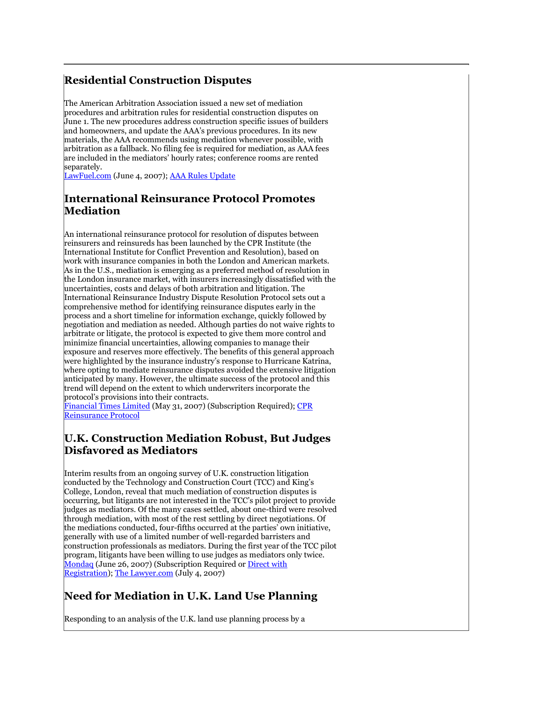### **Residential Construction Disputes**

The American Arbitration Association issued a new set of mediation procedures and arbitration rules for residential construction disputes on June 1. The new procedures address construction specific issues of builders and homeowners, and update the AAA's previous procedures. In its new materials, the AAA recommends using mediation whenever possible, with arbitration as a fallback. No filing fee is required for mediation, as AAA fees are included in the mediators' hourly rates; conference rooms are rented separately.

[LawFuel.com](http://tinyurl.com/2te3km) (June 4, 2007)[; AAA Rules Update](http://www.adr.org/sp.asp?id=24714)

#### **International Reinsurance Protocol Promotes Mediation**

An international reinsurance protocol for resolution of disputes between reinsurers and reinsureds has been launched by the CPR Institute (the International Institute for Conflict Prevention and Resolution), based on work with insurance companies in both the London and American markets. As in the U.S., mediation is emerging as a preferred method of resolution in the London insurance market, with insurers increasingly dissatisfied with the uncertainties, costs and delays of both arbitration and litigation. The International Reinsurance Industry Dispute Resolution Protocol sets out a comprehensive method for identifying reinsurance disputes early in the process and a short timeline for information exchange, quickly followed by negotiation and mediation as needed. Although parties do not waive rights to arbitrate or litigate, the protocol is expected to give them more control and minimize financial uncertainties, allowing companies to manage their exposure and reserves more effectively. The benefits of this general approach were highlighted by the insurance industry's response to Hurricane Katrina, where opting to mediate reinsurance disputes avoided the extensive litigation anticipated by many. However, the ultimate success of the protocol and this trend will depend on the extent to which underwriters incorporate the protocol's provisions into their contracts.

[Financial Times Limited](http://tinyurl.com/2zetcf) (May 31, 2007) (Subscription Required); CPR [Reinsurance Protocol](http://www.insurancemediation.org/)

#### **U.K. Construction Mediation Robust, But Judges Disfavored as Mediators**

Interim results from an ongoing survey of U.K. construction litigation conducted by the Technology and Construction Court (TCC) and King's College, London, reveal that much mediation of construction disputes is occurring, but litigants are not interested in the TCC's pilot project to provide judges as mediators. Of the many cases settled, about one-third were resolved through mediation, with most of the rest settling by direct negotiations. Of the mediations conducted, four-fifths occurred at the parties' own initiative, generally with use of a limited number of well-regarded barristers and construction professionals as mediators. During the first year of the TCC pilot program, litigants have been willing to use judges as mediators only twice. [Mondaq](http://tinyurl.com/2fqboc) (June 26, 2007) (Subscription Required o[r Direct with](http://tinyurl.com/2oo3ar)  [Registration\)](http://tinyurl.com/2oo3ar); [The Lawyer.com](http://tinyurl.com/33t9ug) (July 4, 2007)

# **Need for Mediation in U.K. Land Use Planning**

Responding to an analysis of the U.K. land use planning process by a